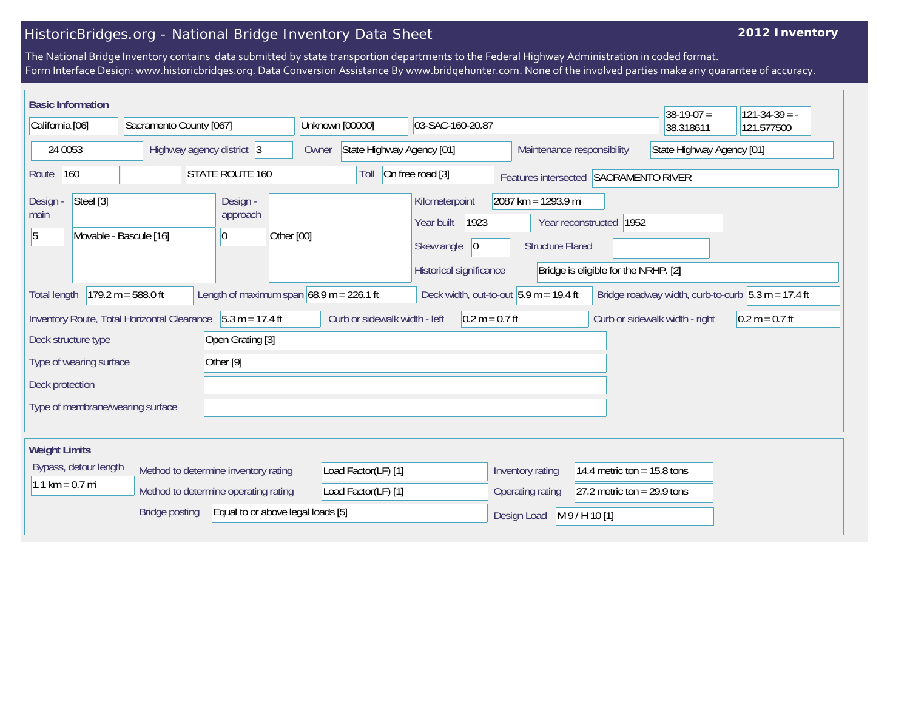## HistoricBridges.org - National Bridge Inventory Data Sheet

## **2012 Inventory**

The National Bridge Inventory contains data submitted by state transportion departments to the Federal Highway Administration in coded format. Form Interface Design: www.historicbridges.org. Data Conversion Assistance By www.bridgehunter.com. None of the involved parties make any guarantee of accuracy.

| <b>Basic Information</b>                                                                                                                                                    |                                                                                                                            |                         |  |                                            |                     |       |                 |  |                                                                       |                     |  |                                                | $38-19-07 =$   | $121 - 34 - 39 = -$                                             |                           |                                                      |
|-----------------------------------------------------------------------------------------------------------------------------------------------------------------------------|----------------------------------------------------------------------------------------------------------------------------|-------------------------|--|--------------------------------------------|---------------------|-------|-----------------|--|-----------------------------------------------------------------------|---------------------|--|------------------------------------------------|----------------|-----------------------------------------------------------------|---------------------------|------------------------------------------------------|
| California [06]                                                                                                                                                             |                                                                                                                            | Sacramento County [067] |  |                                            |                     |       | Unknown [00000] |  | 03-SAC-160-20.87                                                      |                     |  |                                                |                |                                                                 | 38.318611                 | 121.577500                                           |
| 24 0053                                                                                                                                                                     |                                                                                                                            |                         |  | Highway agency district 3                  |                     | Owner |                 |  | State Highway Agency [01]                                             |                     |  | Maintenance responsibility                     |                |                                                                 | State Highway Agency [01] |                                                      |
| Route                                                                                                                                                                       | 160                                                                                                                        |                         |  | STATE ROUTE 160                            |                     |       | Toll            |  | On free road [3]                                                      |                     |  | Features intersected SACRAMENTO RIVER          |                |                                                                 |                           |                                                      |
| Design -<br>main<br>5                                                                                                                                                       | Steel [3]<br>Movable - Bascule [16]                                                                                        |                         |  | Design -<br>approach<br>10                 | Other [00]          |       |                 |  | Kilometerpoint<br>Year built<br>Skew angle<br>Historical significance | 1923<br>$ 0\rangle$ |  | 2087 km = 1293.9 mi<br><b>Structure Flared</b> |                | Year reconstructed 1952<br>Bridge is eligible for the NRHP. [2] |                           |                                                      |
| <b>Total length</b>                                                                                                                                                         |                                                                                                                            | $179.2 m = 588.0 ft$    |  | Length of maximum span $68.9$ m = 226.1 ft |                     |       |                 |  |                                                                       |                     |  | Deck width, out-to-out $5.9$ m = 19.4 ft       |                |                                                                 |                           | Bridge roadway width, curb-to-curb $5.3 m = 17.4 ft$ |
| $5.3 m = 17.4 ft$<br>Curb or sidewalk width - left<br>$0.2 m = 0.7 ft$<br>Curb or sidewalk width - right<br>$0.2 m = 0.7 ft$<br>Inventory Route, Total Horizontal Clearance |                                                                                                                            |                         |  |                                            |                     |       |                 |  |                                                                       |                     |  |                                                |                |                                                                 |                           |                                                      |
| Deck structure type<br>Open Grating [3]                                                                                                                                     |                                                                                                                            |                         |  |                                            |                     |       |                 |  |                                                                       |                     |  |                                                |                |                                                                 |                           |                                                      |
| Other [9]<br>Type of wearing surface                                                                                                                                        |                                                                                                                            |                         |  |                                            |                     |       |                 |  |                                                                       |                     |  |                                                |                |                                                                 |                           |                                                      |
| Deck protection                                                                                                                                                             |                                                                                                                            |                         |  |                                            |                     |       |                 |  |                                                                       |                     |  |                                                |                |                                                                 |                           |                                                      |
| Type of membrane/wearing surface                                                                                                                                            |                                                                                                                            |                         |  |                                            |                     |       |                 |  |                                                                       |                     |  |                                                |                |                                                                 |                           |                                                      |
| <b>Weight Limits</b>                                                                                                                                                        |                                                                                                                            |                         |  |                                            |                     |       |                 |  |                                                                       |                     |  |                                                |                |                                                                 |                           |                                                      |
|                                                                                                                                                                             | Bypass, detour length<br>Method to determine inventory rating<br>$1.1 km = 0.7 mi$<br>Method to determine operating rating |                         |  |                                            | Load Factor(LF) [1] |       |                 |  | 14.4 metric ton = $15.8$ tons<br>Inventory rating                     |                     |  |                                                |                |                                                                 |                           |                                                      |
|                                                                                                                                                                             |                                                                                                                            |                         |  |                                            | Load Factor(LF) [1] |       |                 |  | 27.2 metric ton = $29.9$ tons<br>Operating rating                     |                     |  |                                                |                |                                                                 |                           |                                                      |
|                                                                                                                                                                             |                                                                                                                            | <b>Bridge posting</b>   |  | Equal to or above legal loads [5]          |                     |       |                 |  |                                                                       |                     |  | Design Load                                    | M 9 / H 10 [1] |                                                                 |                           |                                                      |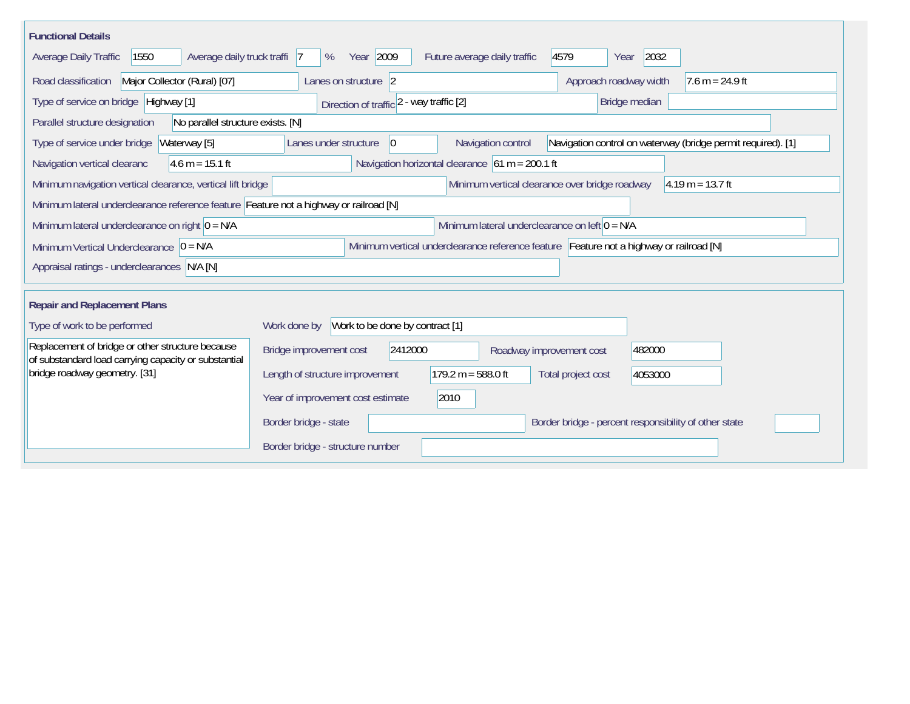| <b>Functional Details</b>                                                                                                             |                                                                                                                               |  |  |  |  |  |  |  |  |
|---------------------------------------------------------------------------------------------------------------------------------------|-------------------------------------------------------------------------------------------------------------------------------|--|--|--|--|--|--|--|--|
| 1550<br>Average daily truck traffi 7<br>Average Daily Traffic                                                                         | Year 2009<br>2032<br>4579<br>%<br>Future average daily traffic<br>Year                                                        |  |  |  |  |  |  |  |  |
| Road classification<br>Major Collector (Rural) [07]                                                                                   | Approach roadway width<br>Lanes on structure 2<br>$7.6 m = 24.9 ft$                                                           |  |  |  |  |  |  |  |  |
| Type of service on bridge Highway [1]                                                                                                 | Bridge median<br>Direction of traffic 2 - way traffic [2]                                                                     |  |  |  |  |  |  |  |  |
| No parallel structure exists. [N]<br>Parallel structure designation                                                                   |                                                                                                                               |  |  |  |  |  |  |  |  |
| Waterway [5]<br>Type of service under bridge                                                                                          | Navigation control on waterway (bridge permit required). [1]<br>Navigation control<br>Lanes under structure<br>$\overline{0}$ |  |  |  |  |  |  |  |  |
| $4.6 m = 15.1 ft$<br>Navigation vertical clearanc                                                                                     | Navigation horizontal clearance $61 m = 200.1 ft$                                                                             |  |  |  |  |  |  |  |  |
| Minimum navigation vertical clearance, vertical lift bridge                                                                           | Minimum vertical clearance over bridge roadway<br>$4.19 m = 13.7 ft$                                                          |  |  |  |  |  |  |  |  |
| Minimum lateral underclearance reference feature Feature not a highway or railroad [N]                                                |                                                                                                                               |  |  |  |  |  |  |  |  |
| Minimum lateral underclearance on left $0 = N/A$<br>Minimum lateral underclearance on right $0 = N/A$                                 |                                                                                                                               |  |  |  |  |  |  |  |  |
| Minimum vertical underclearance reference feature Feature not a highway or railroad [N]<br>Minimum Vertical Underclearance $ 0 = N/A$ |                                                                                                                               |  |  |  |  |  |  |  |  |
| Appraisal ratings - underclearances N/A [N]                                                                                           |                                                                                                                               |  |  |  |  |  |  |  |  |
|                                                                                                                                       |                                                                                                                               |  |  |  |  |  |  |  |  |
| <b>Repair and Replacement Plans</b>                                                                                                   |                                                                                                                               |  |  |  |  |  |  |  |  |
| Type of work to be performed                                                                                                          | Work to be done by contract [1]<br>Work done by                                                                               |  |  |  |  |  |  |  |  |
| Replacement of bridge or other structure because<br>of substandard load carrying capacity or substantial                              | 2412000<br>Bridge improvement cost<br>482000<br>Roadway improvement cost                                                      |  |  |  |  |  |  |  |  |
| bridge roadway geometry. [31]                                                                                                         | $179.2 m = 588.0 ft$<br>Length of structure improvement<br>Total project cost<br>4053000                                      |  |  |  |  |  |  |  |  |
|                                                                                                                                       | 2010<br>Year of improvement cost estimate                                                                                     |  |  |  |  |  |  |  |  |
|                                                                                                                                       | Border bridge - state<br>Border bridge - percent responsibility of other state                                                |  |  |  |  |  |  |  |  |
|                                                                                                                                       | Border bridge - structure number                                                                                              |  |  |  |  |  |  |  |  |